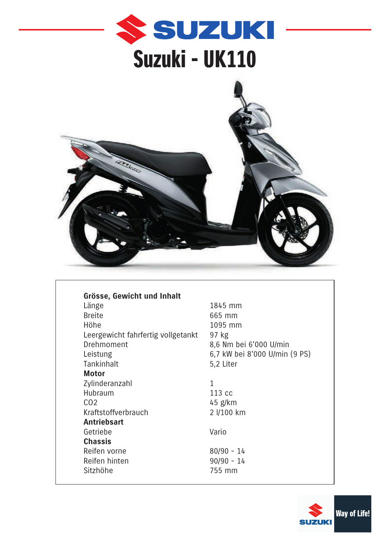



| Grösse, Gewicht und Inhalt         |   |
|------------------------------------|---|
| Länge                              | 1 |
| <b>Breite</b>                      | 6 |
| Höhe                               | 1 |
| Leergewicht fahrfertig vollgetankt | 9 |
| Drehmoment                         | 8 |
| Leistung                           | 6 |
| Tankinhalt                         | 5 |
| <b>Motor</b>                       |   |
| Zylinderanzahl                     | 1 |
| Hubraum                            | 1 |
| CO <sub>2</sub>                    | 4 |
| Kraftstoffverbrauch                | 2 |
| <b>Antriebsart</b>                 |   |
| Getriebe                           | V |
| <b>Chassis</b>                     |   |
| Reifen vorne                       | 8 |
| Reifen hinten                      | 9 |
| Sitzhöhe                           | 7 |

1845 mm 665 mm 1095 mm  $97$  kg 8,6 Nm bei 6'000 U/min 6,7 kW bei 8'000 U/min (9 PS) 5,2 Liter

113 cc 45 g/km 2 l/100 km

Vario

 $80/90 - 14$  $90/90 - 14$ 755 mm

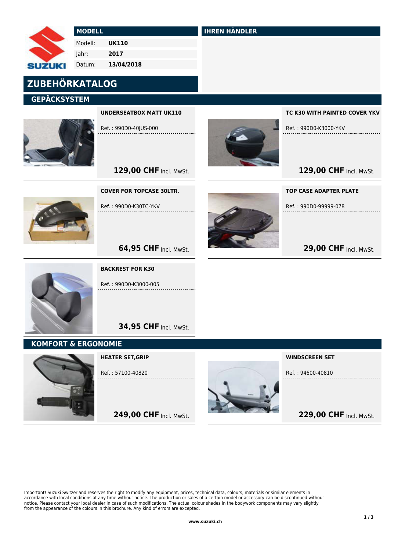#### MODELL

 Modell: UK110

2017

 Jahr: Datum: 13/04/2018

# ZUBEHÖRKATALOG

### **GEPÄCKSYSTEM**

**SUZUKI** 



UNDERSEATBOX MATT UK110

Ref. : 990D0-40JUS-000



IHREN HÄNDLER

TC K30 WITH PAINTED COVER YKV

Ref. : 990D0-K3000-YKV

129,00 CHF Incl. MwSt.

129,00 CHF Incl. MwSt.

**64,95 CHF Incl. MwSt.** 



COVER FOR TOPCASE 30LTR.

Ref. : 990D0-K30TC-YKV



TOP CASE ADAPTER PLATE

Ref. : 990D0-99999-078

**29,00 CHF Incl. MwSt.** 



BACKREST FOR K30

Ref. : 990D0-K3000-005

**34,95 CHF Incl. MwSt.** 

### KOMFORT & ERGONOMIE



## HEATER SET,GRIP

Ref. : 57100-40820

249,00 CHF Incl. MwSt.



WINDSCREEN SET

Ref. : 94600-40810

229,00 CHF Incl. MwSt.

Important! Suzuki Switzerland reserves the right to modify any equipment, prices, technical data, colours, materials or similar elements in accordance with local conditions at any time without notice. The production or sales of a certain model or accessory can be discontinued without notice. Please contact your local dealer in case of such modifications. The actual colour shades in the bodywork components may vary slightly from the appearance of the colours in this brochure. Any kind of errors are excepted.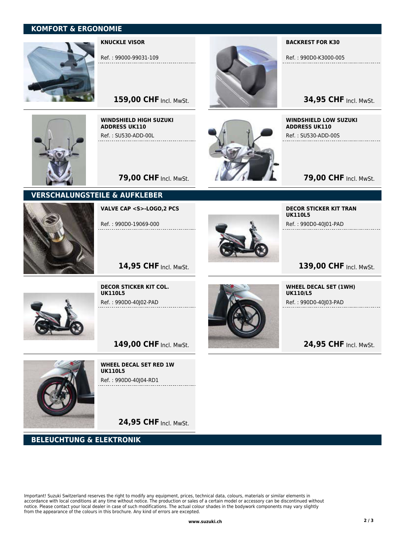### KOMFORT & ERGONOMIE



### KNUCKLE VISOR

Ref. : 99000-99031-109

159,00 CHF Incl. MwSt.



WINDSHIELD HIGH SUZUKI ADDRESS UK110 Ref. : SU530-ADD-00L



#### BACKREST FOR K30

Ref. : 990D0-K3000-005

**34,95 CHF Incl. MwSt.** 

WINDSHIELD LOW SUZUKI ADDRESS UK110 Ref. : SU530-ADD-00S

**79,00 CHF Incl. MwSt.** 

**79,00 CHF Incl. MwSt.** 

### VERSCHALUNGSTEILE & AUFKLEBER



VALVE CAP <S>-LOGO,2 PCS

Ref. : 990D0-19069-000



DECOR STICKER KIT TRAN UK110L5

Ref. : 990D0-40J01-PAD

### 139,00 CHF Incl. MwSt.

14,95 CHF Incl. MwSt.



DECOR STICKER KIT COL. UK110L5 Ref. : 990D0-40J02-PAD



WHEEL DECAL SET (1WH) UK110/L5 Ref. : 990D0-40J03-PAD

24,95 CHF Incl. MwSt.



WHEEL DECAL SET RED 1W UK110L5 Ref. : 990D0-40J04-RD1

149,00 CHF Incl. MwSt.

24,95 CHF Incl. MwSt.

BELEUCHTUNG & ELEKTRONIK

Important! Suzuki Switzerland reserves the right to modify any equipment, prices, technical data, colours, materials or similar elements in accordance with local conditions at any time without notice. The production or sales of a certain model or accessory can be discontinued without notice. Please contact your local dealer in case of such modifications. The actual colour shades in the bodywork components may vary slightly from the appearance of the colours in this brochure. Any kind of errors are excepted.